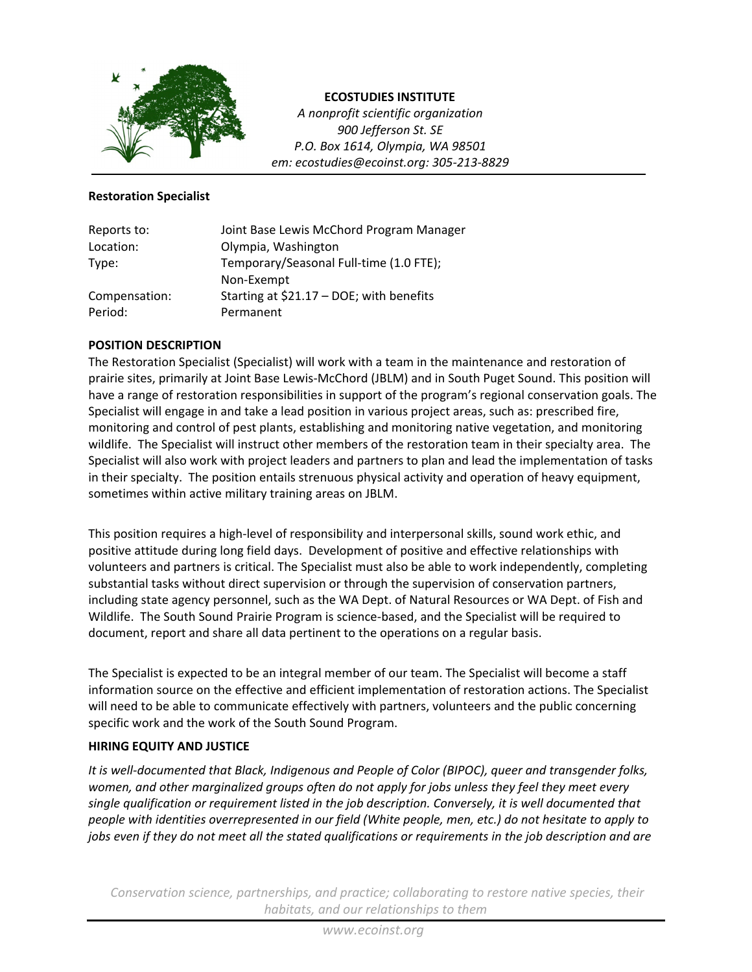

**ECOSTUDIES INSTITUTE**

*A nonprofit scientific organization 900 Jefferson St. SE P.O. Box 1614, Olympia, WA 98501 em: ecostudies@ecoinst.org: 305‐213‐8829*

### **Restoration Specialist**

| Reports to:   | Joint Base Lewis McChord Program Manager |
|---------------|------------------------------------------|
| Location:     | Olympia, Washington                      |
| Type:         | Temporary/Seasonal Full-time (1.0 FTE);  |
|               | Non-Exempt                               |
| Compensation: | Starting at \$21.17 - DOE; with benefits |
| Period:       | Permanent                                |

## **POSITION DESCRIPTION**

The Restoration Specialist (Specialist) will work with a team in the maintenance and restoration of prairie sites, primarily at Joint Base Lewis‐McChord (JBLM) and in South Puget Sound. This position will have a range of restoration responsibilities in support of the program's regional conservation goals. The Specialist will engage in and take a lead position in various project areas, such as: prescribed fire, monitoring and control of pest plants, establishing and monitoring native vegetation, and monitoring wildlife. The Specialist will instruct other members of the restoration team in their specialty area. The Specialist will also work with project leaders and partners to plan and lead the implementation of tasks in their specialty. The position entails strenuous physical activity and operation of heavy equipment, sometimes within active military training areas on JBLM.

This position requires a high‐level of responsibility and interpersonal skills, sound work ethic, and positive attitude during long field days. Development of positive and effective relationships with volunteers and partners is critical. The Specialist must also be able to work independently, completing substantial tasks without direct supervision or through the supervision of conservation partners, including state agency personnel, such as the WA Dept. of Natural Resources or WA Dept. of Fish and Wildlife. The South Sound Prairie Program is science‐based, and the Specialist will be required to document, report and share all data pertinent to the operations on a regular basis.

The Specialist is expected to be an integral member of our team. The Specialist will become a staff information source on the effective and efficient implementation of restoration actions. The Specialist will need to be able to communicate effectively with partners, volunteers and the public concerning specific work and the work of the South Sound Program.

## **HIRING EQUITY AND JUSTICE**

*It is well‐documented that Black, Indigenous and People of Color (BIPOC), queer and transgender folks, women, and other marginalized groups often do not apply for jobs unless they feel they meet every single qualification or requirement listed in the job description. Conversely, it is well documented that people with identities overrepresented in our field (White people, men, etc.) do not hesitate to apply to* jobs even if they do not meet all the stated qualifications or requirements in the job description and are

*Conservation science, partnerships, and practice; collaborating to restore native species, their habitats, and our relationships to them*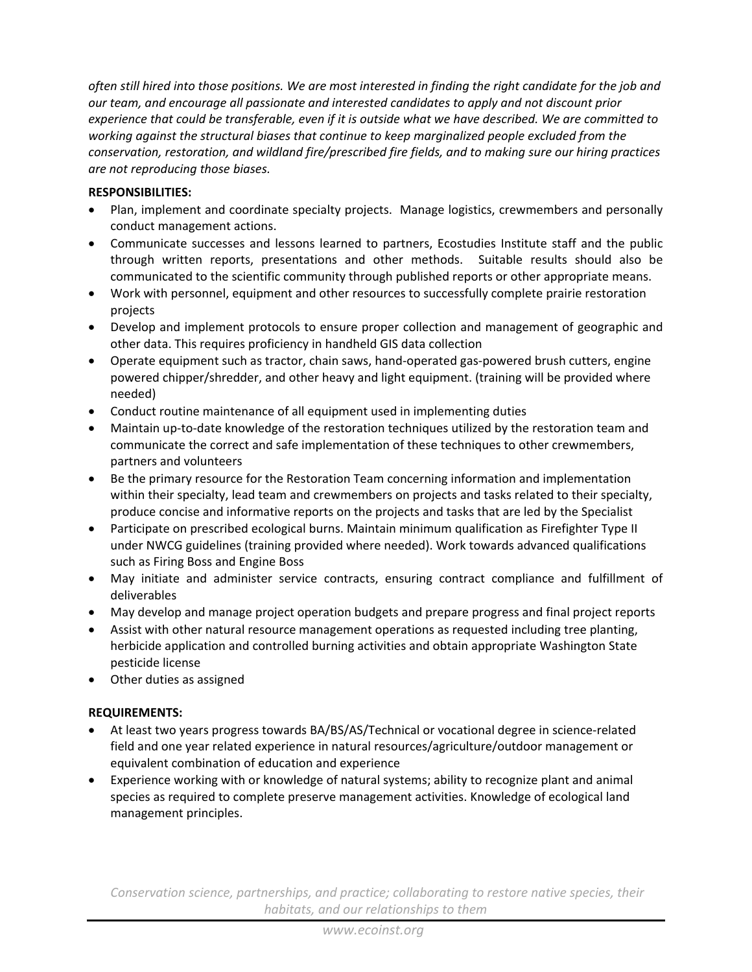often still hired into those positions. We are most interested in finding the right candidate for the job and *our team, and encourage all passionate and interested candidates to apply and not discount prior* experience that could be transferable, even if it is outside what we have described. We are committed to *working against the structural biases that continue to keep marginalized people excluded from the conservation, restoration, and wildland fire/prescribed fire fields, and to making sure our hiring practices are not reproducing those biases.*

# **RESPONSIBILITIES:**

- Plan, implement and coordinate specialty projects. Manage logistics, crewmembers and personally conduct management actions.
- Communicate successes and lessons learned to partners, Ecostudies Institute staff and the public through written reports, presentations and other methods. Suitable results should also be communicated to the scientific community through published reports or other appropriate means.
- Work with personnel, equipment and other resources to successfully complete prairie restoration projects
- Develop and implement protocols to ensure proper collection and management of geographic and other data. This requires proficiency in handheld GIS data collection
- Operate equipment such as tractor, chain saws, hand-operated gas-powered brush cutters, engine powered chipper/shredder, and other heavy and light equipment. (training will be provided where needed)
- Conduct routine maintenance of all equipment used in implementing duties
- Maintain up-to-date knowledge of the restoration techniques utilized by the restoration team and communicate the correct and safe implementation of these techniques to other crewmembers, partners and volunteers
- Be the primary resource for the Restoration Team concerning information and implementation within their specialty, lead team and crewmembers on projects and tasks related to their specialty, produce concise and informative reports on the projects and tasks that are led by the Specialist
- Participate on prescribed ecological burns. Maintain minimum qualification as Firefighter Type II under NWCG guidelines (training provided where needed). Work towards advanced qualifications such as Firing Boss and Engine Boss
- May initiate and administer service contracts, ensuring contract compliance and fulfillment of deliverables
- May develop and manage project operation budgets and prepare progress and final project reports
- Assist with other natural resource management operations as requested including tree planting, herbicide application and controlled burning activities and obtain appropriate Washington State pesticide license
- Other duties as assigned

## **REQUIREMENTS:**

- At least two years progress towards BA/BS/AS/Technical or vocational degree in science‐related field and one year related experience in natural resources/agriculture/outdoor management or equivalent combination of education and experience
- Experience working with or knowledge of natural systems; ability to recognize plant and animal species as required to complete preserve management activities. Knowledge of ecological land management principles.